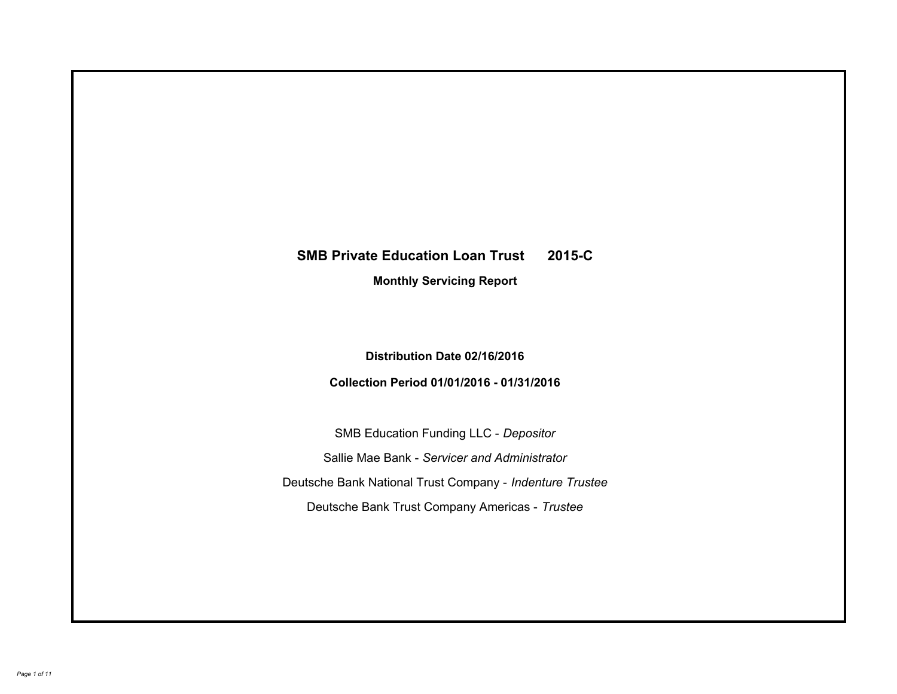# **SMB Private Education Loan Trust 2015-C Monthly Servicing Report**

# **Distribution Date 02/16/2016**

# **Collection Period 01/01/2016 - 01/31/2016**

SMB Education Funding LLC - *Depositor* Sallie Mae Bank - *Servicer and Administrator* Deutsche Bank National Trust Company - *Indenture Trustee* Deutsche Bank Trust Company Americas - *Trustee*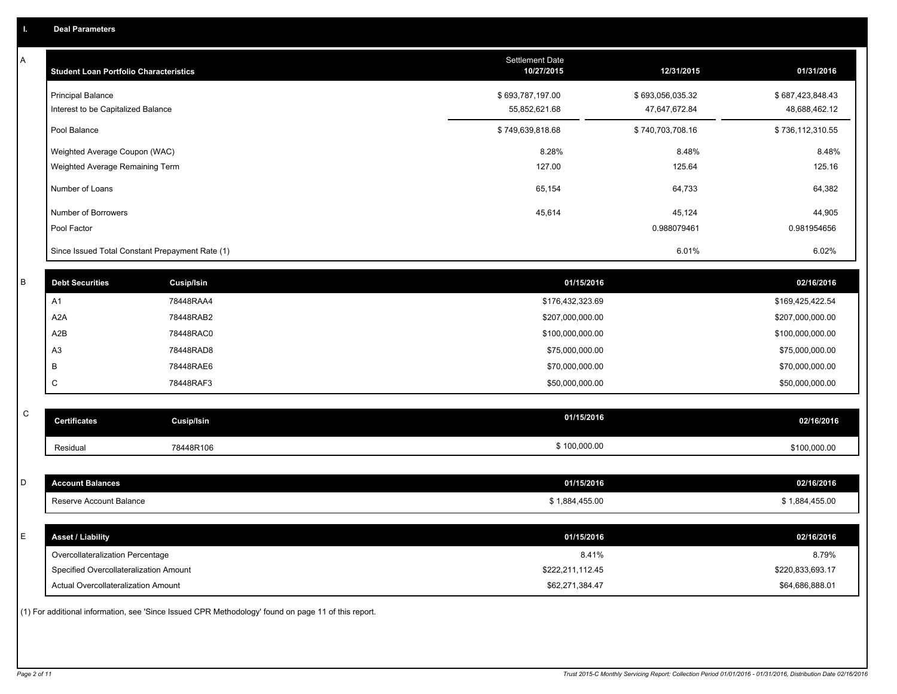A

| A         | <b>Student Loan Portfolio Characteristics</b>   |                                                                                                     | Settlement Date<br>10/27/2015 | 12/31/2015       | 01/31/2016       |
|-----------|-------------------------------------------------|-----------------------------------------------------------------------------------------------------|-------------------------------|------------------|------------------|
|           | <b>Principal Balance</b>                        |                                                                                                     | \$693,787,197.00              | \$693,056,035.32 | \$687,423,848.43 |
|           | Interest to be Capitalized Balance              |                                                                                                     | 55,852,621.68                 | 47,647,672.84    | 48,688,462.12    |
|           | Pool Balance                                    |                                                                                                     | \$749,639,818.68              | \$740,703,708.16 | \$736,112,310.55 |
|           | Weighted Average Coupon (WAC)                   |                                                                                                     | 8.28%                         | 8.48%            | 8.48%            |
|           | Weighted Average Remaining Term                 |                                                                                                     | 127.00                        | 125.64           | 125.16           |
|           | Number of Loans                                 |                                                                                                     | 65,154                        | 64,733           | 64,382           |
|           | Number of Borrowers                             |                                                                                                     | 45,614                        | 45,124           | 44,905           |
|           | Pool Factor                                     |                                                                                                     |                               | 0.988079461      | 0.981954656      |
|           | Since Issued Total Constant Prepayment Rate (1) |                                                                                                     |                               | 6.01%            | 6.02%            |
| B         | <b>Debt Securities</b>                          | <b>Cusip/Isin</b>                                                                                   | 01/15/2016                    |                  | 02/16/2016       |
|           | A1                                              | 78448RAA4                                                                                           | \$176,432,323.69              |                  | \$169,425,422.54 |
|           | A <sub>2</sub> A                                | 78448RAB2                                                                                           | \$207,000,000.00              |                  | \$207,000,000.00 |
|           | A <sub>2</sub> B                                | 78448RAC0                                                                                           | \$100,000,000.00              |                  | \$100,000,000.00 |
|           | A3                                              | 78448RAD8                                                                                           | \$75,000,000.00               |                  | \$75,000,000.00  |
|           | В                                               | 78448RAE6                                                                                           | \$70,000,000.00               |                  | \$70,000,000.00  |
|           | C                                               | 78448RAF3                                                                                           | \$50,000,000.00               |                  | \$50,000,000.00  |
| ${\rm c}$ |                                                 |                                                                                                     |                               |                  |                  |
|           | <b>Certificates</b>                             | <b>Cusip/Isin</b>                                                                                   | 01/15/2016                    |                  | 02/16/2016       |
|           | Residual                                        | 78448R106                                                                                           | \$100,000.00                  |                  | \$100,000.00     |
|           |                                                 |                                                                                                     |                               |                  |                  |
| D         | <b>Account Balances</b>                         |                                                                                                     | 01/15/2016                    |                  | 02/16/2016       |
|           | Reserve Account Balance                         |                                                                                                     | \$1,884,455.00                |                  | \$1,884,455.00   |
| E         | <b>Asset / Liability</b>                        |                                                                                                     | 01/15/2016                    |                  | 02/16/2016       |
|           | Overcollateralization Percentage                |                                                                                                     | 8.41%                         |                  | 8.79%            |
|           | Specified Overcollateralization Amount          |                                                                                                     | \$222,211,112.45              |                  | \$220,833,693.17 |
|           | <b>Actual Overcollateralization Amount</b>      |                                                                                                     | \$62,271,384.47               |                  | \$64,686,888.01  |
|           |                                                 | (1) For additional information, see 'Since Issued CPR Methodology' found on page 11 of this report. |                               |                  |                  |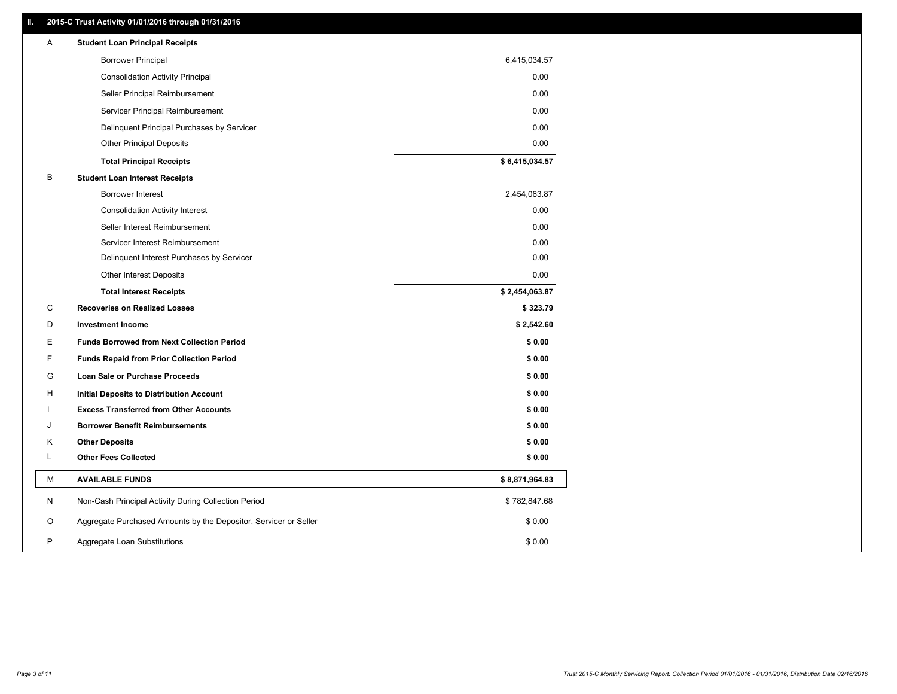### **II. 2015-C Trust Activity 01/01/2016 through 01/31/2016**

| Α | <b>Student Loan Principal Receipts</b>                           |                |
|---|------------------------------------------------------------------|----------------|
|   | <b>Borrower Principal</b>                                        | 6,415,034.57   |
|   | <b>Consolidation Activity Principal</b>                          | 0.00           |
|   | Seller Principal Reimbursement                                   | 0.00           |
|   | Servicer Principal Reimbursement                                 | 0.00           |
|   | Delinquent Principal Purchases by Servicer                       | 0.00           |
|   | <b>Other Principal Deposits</b>                                  | 0.00           |
|   | <b>Total Principal Receipts</b>                                  | \$6,415,034.57 |
| в | <b>Student Loan Interest Receipts</b>                            |                |
|   | <b>Borrower Interest</b>                                         | 2,454,063.87   |
|   | <b>Consolidation Activity Interest</b>                           | 0.00           |
|   | Seller Interest Reimbursement                                    | 0.00           |
|   | Servicer Interest Reimbursement                                  | 0.00           |
|   | Delinquent Interest Purchases by Servicer                        | 0.00           |
|   | <b>Other Interest Deposits</b>                                   | 0.00           |
|   | <b>Total Interest Receipts</b>                                   | \$2,454,063.87 |
| C | <b>Recoveries on Realized Losses</b>                             | \$323.79       |
| D | <b>Investment Income</b>                                         | \$2,542.60     |
| Ε | <b>Funds Borrowed from Next Collection Period</b>                | \$0.00         |
| F | <b>Funds Repaid from Prior Collection Period</b>                 | \$0.00         |
| G | Loan Sale or Purchase Proceeds                                   | \$0.00         |
| н | Initial Deposits to Distribution Account                         | \$0.00         |
|   | <b>Excess Transferred from Other Accounts</b>                    | \$0.00         |
| J | <b>Borrower Benefit Reimbursements</b>                           | \$0.00         |
| Κ | <b>Other Deposits</b>                                            | \$0.00         |
| L | <b>Other Fees Collected</b>                                      | \$0.00         |
| М | <b>AVAILABLE FUNDS</b>                                           | \$8,871,964.83 |
| N | Non-Cash Principal Activity During Collection Period             | \$782,847.68   |
| O | Aggregate Purchased Amounts by the Depositor, Servicer or Seller | \$0.00         |
| P | Aggregate Loan Substitutions                                     | \$0.00         |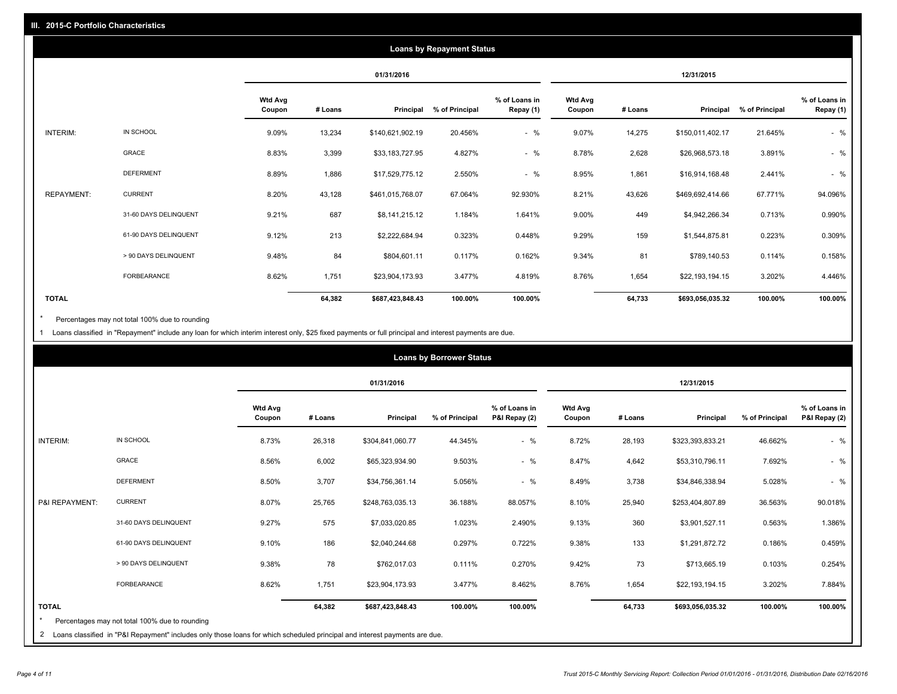|                   |                       |                          |         |                  | <b>Loans by Repayment Status</b> |                            |                          |         |                  |                |                            |
|-------------------|-----------------------|--------------------------|---------|------------------|----------------------------------|----------------------------|--------------------------|---------|------------------|----------------|----------------------------|
|                   |                       |                          |         | 01/31/2016       |                                  |                            |                          |         | 12/31/2015       |                |                            |
|                   |                       | <b>Wtd Avg</b><br>Coupon | # Loans | Principal        | % of Principal                   | % of Loans in<br>Repay (1) | <b>Wtd Avg</b><br>Coupon | # Loans | Principal        | % of Principal | % of Loans in<br>Repay (1) |
| INTERIM:          | IN SCHOOL             | 9.09%                    | 13,234  | \$140,621,902.19 | 20.456%                          | $-$ %                      | 9.07%                    | 14,275  | \$150,011,402.17 | 21.645%        | $-$ %                      |
|                   | GRACE                 | 8.83%                    | 3,399   | \$33,183,727.95  | 4.827%                           | $-$ %                      | 8.78%                    | 2,628   | \$26,968,573.18  | 3.891%         | $-$ %                      |
|                   | <b>DEFERMENT</b>      | 8.89%                    | 1,886   | \$17,529,775.12  | 2.550%                           | $-$ %                      | 8.95%                    | 1,861   | \$16,914,168.48  | 2.441%         | $-$ %                      |
| <b>REPAYMENT:</b> | <b>CURRENT</b>        | 8.20%                    | 43,128  | \$461,015,768.07 | 67.064%                          | 92.930%                    | 8.21%                    | 43,626  | \$469,692,414.66 | 67.771%        | 94.096%                    |
|                   | 31-60 DAYS DELINQUENT | 9.21%                    | 687     | \$8,141,215.12   | 1.184%                           | 1.641%                     | 9.00%                    | 449     | \$4,942,266.34   | 0.713%         | 0.990%                     |
|                   | 61-90 DAYS DELINQUENT | 9.12%                    | 213     | \$2,222,684.94   | 0.323%                           | 0.448%                     | 9.29%                    | 159     | \$1,544,875.81   | 0.223%         | 0.309%                     |
|                   | > 90 DAYS DELINQUENT  | 9.48%                    | 84      | \$804,601.11     | 0.117%                           | 0.162%                     | 9.34%                    | 81      | \$789,140.53     | 0.114%         | 0.158%                     |
|                   | <b>FORBEARANCE</b>    | 8.62%                    | 1,751   | \$23,904,173.93  | 3.477%                           | 4.819%                     | 8.76%                    | 1,654   | \$22,193,194.15  | 3.202%         | 4.446%                     |
| <b>TOTAL</b>      |                       |                          | 64,382  | \$687,423,848.43 | 100.00%                          | 100.00%                    |                          | 64,733  | \$693,056,035.32 | 100.00%        | 100.00%                    |

Percentages may not total 100% due to rounding \*

1 Loans classified in "Repayment" include any loan for which interim interest only, \$25 fixed payments or full principal and interest payments are due.

|                 |                                                                                                                              |                          |         |                  | <b>Loans by Borrower Status</b> |                                |                   |         |                  |                |                                |
|-----------------|------------------------------------------------------------------------------------------------------------------------------|--------------------------|---------|------------------|---------------------------------|--------------------------------|-------------------|---------|------------------|----------------|--------------------------------|
|                 |                                                                                                                              |                          |         | 01/31/2016       |                                 |                                |                   |         | 12/31/2015       |                |                                |
|                 |                                                                                                                              | <b>Wtd Avg</b><br>Coupon | # Loans | Principal        | % of Principal                  | % of Loans in<br>P&I Repay (2) | Wtd Avg<br>Coupon | # Loans | Principal        | % of Principal | % of Loans in<br>P&I Repay (2) |
| <b>INTERIM:</b> | IN SCHOOL                                                                                                                    | 8.73%                    | 26,318  | \$304,841,060.77 | 44.345%                         | $-$ %                          | 8.72%             | 28,193  | \$323,393,833.21 | 46.662%        | $-$ %                          |
|                 | <b>GRACE</b>                                                                                                                 | 8.56%                    | 6,002   | \$65,323,934.90  | 9.503%                          | $-$ %                          | 8.47%             | 4,642   | \$53,310,796.11  | 7.692%         | $-$ %                          |
|                 | <b>DEFERMENT</b>                                                                                                             | 8.50%                    | 3,707   | \$34,756,361.14  | 5.056%                          | $-$ %                          | 8.49%             | 3,738   | \$34,846,338.94  | 5.028%         | $-$ %                          |
| P&I REPAYMENT:  | <b>CURRENT</b>                                                                                                               | 8.07%                    | 25,765  | \$248,763,035.13 | 36.188%                         | 88.057%                        | 8.10%             | 25,940  | \$253,404,807.89 | 36.563%        | 90.018%                        |
|                 | 31-60 DAYS DELINQUENT                                                                                                        | 9.27%                    | 575     | \$7,033,020.85   | 1.023%                          | 2.490%                         | 9.13%             | 360     | \$3,901,527.11   | 0.563%         | 1.386%                         |
|                 | 61-90 DAYS DELINQUENT                                                                                                        | 9.10%                    | 186     | \$2,040,244.68   | 0.297%                          | 0.722%                         | 9.38%             | 133     | \$1,291,872.72   | 0.186%         | 0.459%                         |
|                 | > 90 DAYS DELINQUENT                                                                                                         | 9.38%                    | 78      | \$762,017.03     | 0.111%                          | 0.270%                         | 9.42%             | 73      | \$713,665.19     | 0.103%         | 0.254%                         |
|                 | FORBEARANCE                                                                                                                  | 8.62%                    | 1,751   | \$23,904,173.93  | 3.477%                          | 8.462%                         | 8.76%             | 1,654   | \$22,193,194.15  | 3.202%         | 7.884%                         |
| <b>TOTAL</b>    |                                                                                                                              |                          | 64,382  | \$687,423,848.43 | 100.00%                         | 100.00%                        |                   | 64,733  | \$693,056,035.32 | 100.00%        | 100.00%                        |
|                 | Percentages may not total 100% due to rounding                                                                               |                          |         |                  |                                 |                                |                   |         |                  |                |                                |
|                 | 2 Loans classified in "P&I Repayment" includes only those loans for which scheduled principal and interest payments are due. |                          |         |                  |                                 |                                |                   |         |                  |                |                                |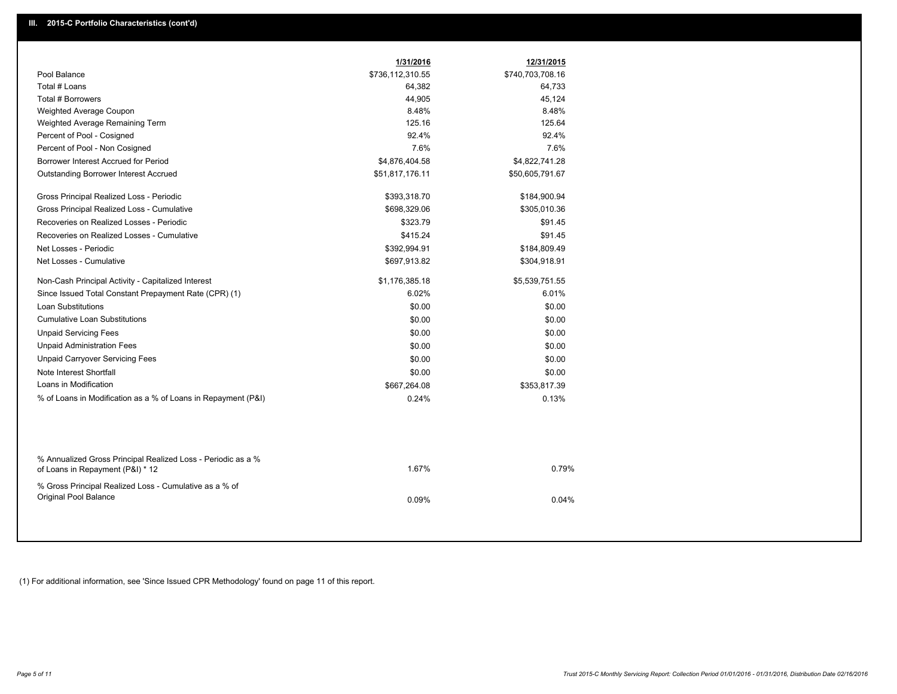|                                                                                                  | 1/31/2016        | 12/31/2015       |
|--------------------------------------------------------------------------------------------------|------------------|------------------|
| Pool Balance                                                                                     | \$736,112,310.55 | \$740,703,708.16 |
| Total # Loans                                                                                    | 64,382           | 64,733           |
| Total # Borrowers                                                                                | 44,905           | 45,124           |
| Weighted Average Coupon                                                                          | 8.48%            | 8.48%            |
| Weighted Average Remaining Term                                                                  | 125.16           | 125.64           |
| Percent of Pool - Cosigned                                                                       | 92.4%            | 92.4%            |
| Percent of Pool - Non Cosigned                                                                   | 7.6%             | 7.6%             |
| Borrower Interest Accrued for Period                                                             | \$4,876,404.58   | \$4,822,741.28   |
| <b>Outstanding Borrower Interest Accrued</b>                                                     | \$51,817,176.11  | \$50,605,791.67  |
| Gross Principal Realized Loss - Periodic                                                         | \$393,318.70     | \$184,900.94     |
| Gross Principal Realized Loss - Cumulative                                                       | \$698,329.06     | \$305,010.36     |
| Recoveries on Realized Losses - Periodic                                                         | \$323.79         | \$91.45          |
| Recoveries on Realized Losses - Cumulative                                                       | \$415.24         | \$91.45          |
| Net Losses - Periodic                                                                            | \$392,994.91     | \$184,809.49     |
| Net Losses - Cumulative                                                                          | \$697,913.82     | \$304,918.91     |
| Non-Cash Principal Activity - Capitalized Interest                                               | \$1,176,385.18   | \$5,539,751.55   |
| Since Issued Total Constant Prepayment Rate (CPR) (1)                                            | 6.02%            | 6.01%            |
| Loan Substitutions                                                                               | \$0.00           | \$0.00           |
| <b>Cumulative Loan Substitutions</b>                                                             | \$0.00           | \$0.00           |
| <b>Unpaid Servicing Fees</b>                                                                     | \$0.00           | \$0.00           |
| <b>Unpaid Administration Fees</b>                                                                | \$0.00           | \$0.00           |
| <b>Unpaid Carryover Servicing Fees</b>                                                           | \$0.00           | \$0.00           |
| Note Interest Shortfall                                                                          | \$0.00           | \$0.00           |
| Loans in Modification                                                                            | \$667,264.08     | \$353,817.39     |
| % of Loans in Modification as a % of Loans in Repayment (P&I)                                    | 0.24%            | 0.13%            |
|                                                                                                  |                  |                  |
| % Annualized Gross Principal Realized Loss - Periodic as a %<br>of Loans in Repayment (P&I) * 12 | 1.67%            | 0.79%            |
| % Gross Principal Realized Loss - Cumulative as a % of<br>Original Pool Balance                  | 0.09%            | 0.04%            |

(1) For additional information, see 'Since Issued CPR Methodology' found on page 11 of this report.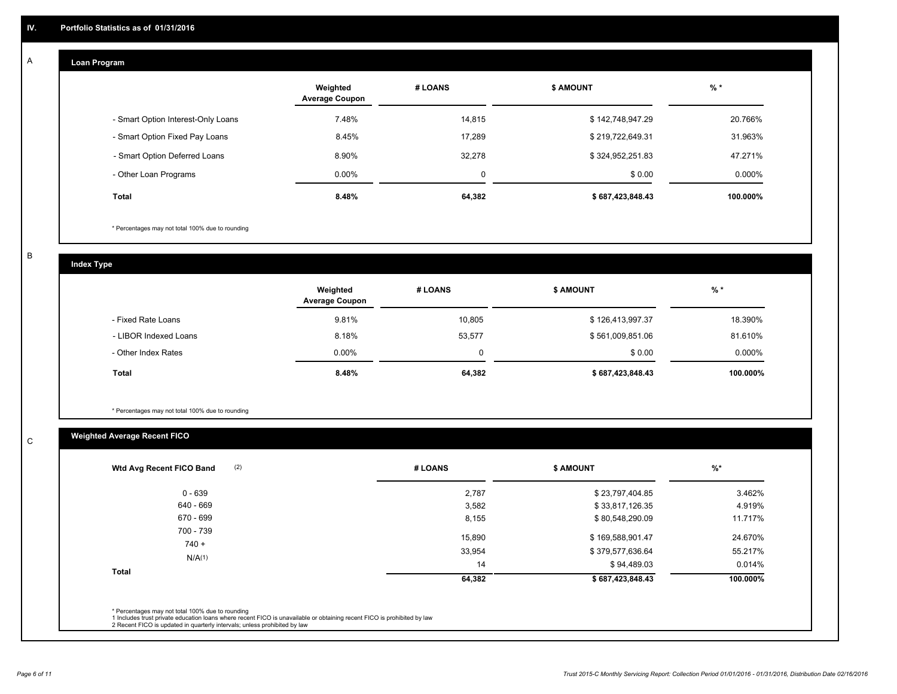#### **Loan Program**  A

|                                    | Weighted<br><b>Average Coupon</b> | # LOANS | <b>S AMOUNT</b>  | $%$ *    |
|------------------------------------|-----------------------------------|---------|------------------|----------|
| - Smart Option Interest-Only Loans | 7.48%                             | 14.815  | \$142,748,947.29 | 20.766%  |
| - Smart Option Fixed Pay Loans     | 8.45%                             | 17.289  | \$219,722,649.31 | 31.963%  |
| - Smart Option Deferred Loans      | 8.90%                             | 32.278  | \$324,952,251.83 | 47.271%  |
| - Other Loan Programs              | $0.00\%$                          | 0       | \$0.00           | 0.000%   |
| <b>Total</b>                       | 8.48%                             | 64,382  | \$687,423,848.43 | 100.000% |

\* Percentages may not total 100% due to rounding

B

C

**Index Type**

|                       | Weighted<br><b>Average Coupon</b> | # LOANS | <b>S AMOUNT</b>  | $%$ *     |
|-----------------------|-----------------------------------|---------|------------------|-----------|
| - Fixed Rate Loans    | 9.81%                             | 10.805  | \$126,413,997.37 | 18.390%   |
| - LIBOR Indexed Loans | 8.18%                             | 53,577  | \$561,009,851.06 | 81.610%   |
| - Other Index Rates   | $0.00\%$                          | 0       | \$0.00           | $0.000\%$ |
| <b>Total</b>          | 8.48%                             | 64,382  | \$687,423,848.43 | 100.000%  |

\* Percentages may not total 100% due to rounding

## **Weighted Average Recent FICO**

| (2)<br>Wtd Avg Recent FICO Band                                                                                                                                                                                                                          | # LOANS | <b>\$ AMOUNT</b> | $%$ *    |
|----------------------------------------------------------------------------------------------------------------------------------------------------------------------------------------------------------------------------------------------------------|---------|------------------|----------|
| $0 - 639$                                                                                                                                                                                                                                                | 2,787   | \$23,797,404.85  | 3.462%   |
| 640 - 669                                                                                                                                                                                                                                                | 3,582   | \$33,817,126.35  | 4.919%   |
| 670 - 699                                                                                                                                                                                                                                                | 8,155   | \$80,548,290.09  | 11.717%  |
| 700 - 739<br>$740 +$                                                                                                                                                                                                                                     | 15,890  | \$169,588,901.47 | 24.670%  |
|                                                                                                                                                                                                                                                          | 33,954  | \$379,577,636.64 | 55.217%  |
| N/A(1)                                                                                                                                                                                                                                                   | 14      | \$94,489.03      | 0.014%   |
| Total                                                                                                                                                                                                                                                    | 64,382  | \$687,423,848.43 | 100.000% |
|                                                                                                                                                                                                                                                          |         |                  |          |
| * Percentages may not total 100% due to rounding<br>1 Includes trust private education loans where recent FICO is unavailable or obtaining recent FICO is prohibited by law<br>2 Recent FICO is updated in quarterly intervals; unless prohibited by law |         |                  |          |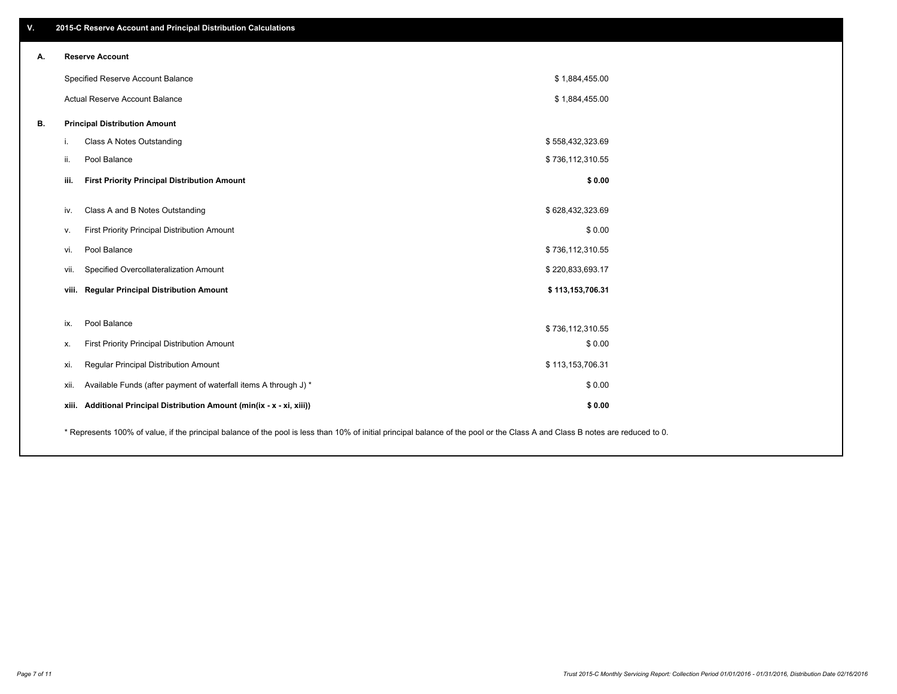| V. | 2015-C Reserve Account and Principal Distribution Calculations                                                                                                                |                  |  |
|----|-------------------------------------------------------------------------------------------------------------------------------------------------------------------------------|------------------|--|
| А. | <b>Reserve Account</b>                                                                                                                                                        |                  |  |
|    | Specified Reserve Account Balance                                                                                                                                             | \$1,884,455.00   |  |
|    | Actual Reserve Account Balance                                                                                                                                                | \$1,884,455.00   |  |
| В. | <b>Principal Distribution Amount</b>                                                                                                                                          |                  |  |
|    | Class A Notes Outstanding<br>i.                                                                                                                                               | \$558,432,323.69 |  |
|    | Pool Balance<br>ii.                                                                                                                                                           | \$736,112,310.55 |  |
|    | <b>First Priority Principal Distribution Amount</b><br>iii.                                                                                                                   | \$0.00           |  |
|    | Class A and B Notes Outstanding<br>iv.                                                                                                                                        | \$628,432,323.69 |  |
|    | First Priority Principal Distribution Amount<br>v.                                                                                                                            | \$0.00           |  |
|    | Pool Balance<br>vi.                                                                                                                                                           | \$736,112,310.55 |  |
|    | Specified Overcollateralization Amount<br>vii.                                                                                                                                | \$220,833,693.17 |  |
|    | viii. Regular Principal Distribution Amount                                                                                                                                   | \$113,153,706.31 |  |
|    |                                                                                                                                                                               |                  |  |
|    | Pool Balance<br>ix.                                                                                                                                                           | \$736,112,310.55 |  |
|    | First Priority Principal Distribution Amount<br>х.                                                                                                                            | \$0.00           |  |
|    | Regular Principal Distribution Amount<br>xi.                                                                                                                                  | \$113,153,706.31 |  |
|    | Available Funds (after payment of waterfall items A through J) *<br>xii.                                                                                                      | \$0.00           |  |
|    | xiii. Additional Principal Distribution Amount (min(ix - x - xi, xiii))                                                                                                       | \$0.00           |  |
|    | * Represents 100% of value, if the principal balance of the pool is less than 10% of initial principal balance of the pool or the Class A and Class B notes are reduced to 0. |                  |  |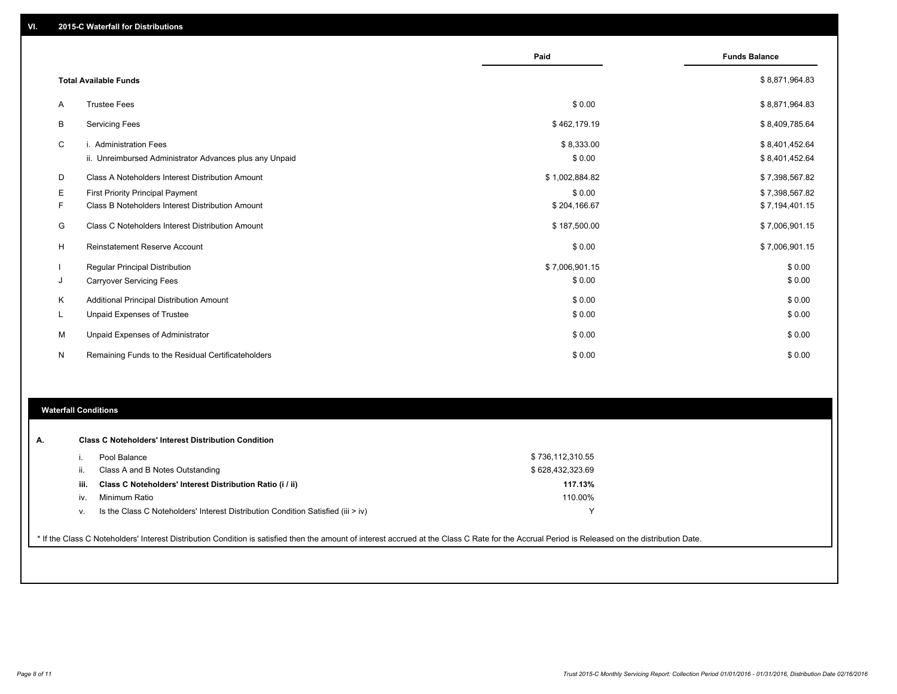|    |                                                         | Paid           | <b>Funds Balance</b> |
|----|---------------------------------------------------------|----------------|----------------------|
|    |                                                         |                |                      |
|    | <b>Total Available Funds</b>                            |                | \$8,871,964.83       |
| A  | <b>Trustee Fees</b>                                     | \$0.00         | \$8,871,964.83       |
| B  | <b>Servicing Fees</b>                                   | \$462,179.19   | \$8,409,785.64       |
| C  | i. Administration Fees                                  | \$8,333.00     | \$8,401,452.64       |
|    | ii. Unreimbursed Administrator Advances plus any Unpaid | \$0.00         | \$8,401,452.64       |
| D  | Class A Noteholders Interest Distribution Amount        | \$1,002,884.82 | \$7,398,567.82       |
| Е  | <b>First Priority Principal Payment</b>                 | \$0.00         | \$7,398,567.82       |
| F  | Class B Noteholders Interest Distribution Amount        | \$204,166.67   | \$7,194,401.15       |
| G  | Class C Noteholders Interest Distribution Amount        | \$187,500.00   | \$7,006,901.15       |
| н  | Reinstatement Reserve Account                           | \$0.00         | \$7,006,901.15       |
|    | <b>Regular Principal Distribution</b>                   | \$7,006,901.15 | \$0.00               |
| J  | <b>Carryover Servicing Fees</b>                         | \$0.00         | \$0.00               |
| К  | Additional Principal Distribution Amount                | \$0.00         | \$0.00               |
| ч. | <b>Unpaid Expenses of Trustee</b>                       | \$0.00         | \$0.00               |
| М  | Unpaid Expenses of Administrator                        | \$0.00         | \$0.00               |
| N  | Remaining Funds to the Residual Certificateholders      | \$0.00         | \$0.00               |

### **Waterfall Conditions**

|      | Pool Balance                                                                     | \$736,112,310.55 |  |
|------|----------------------------------------------------------------------------------|------------------|--|
| H.   | Class A and B Notes Outstanding                                                  | \$628,432,323.69 |  |
| iii. | Class C Noteholders' Interest Distribution Ratio (i / ii)                        | 117.13%          |  |
| iv.  | Minimum Ratio                                                                    | 110.00%          |  |
| v.   | Is the Class C Noteholders' Interest Distribution Condition Satisfied (iii > iv) | ν                |  |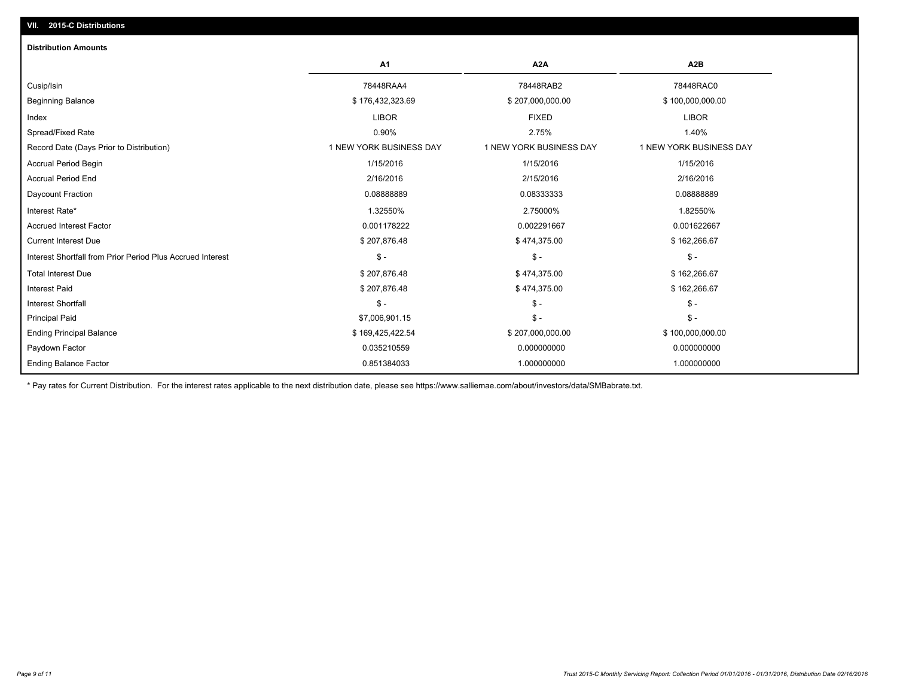| <b>Distribution Amounts</b>                                |                         |                         |                         |
|------------------------------------------------------------|-------------------------|-------------------------|-------------------------|
|                                                            | A <sub>1</sub>          | A <sub>2</sub> A        | A2B                     |
| Cusip/Isin                                                 | 78448RAA4               | 78448RAB2               | 78448RAC0               |
| <b>Beginning Balance</b>                                   | \$176,432,323.69        | \$207,000,000.00        | \$100,000,000.00        |
| Index                                                      | <b>LIBOR</b>            | <b>FIXED</b>            | <b>LIBOR</b>            |
| Spread/Fixed Rate                                          | 0.90%                   | 2.75%                   | 1.40%                   |
| Record Date (Days Prior to Distribution)                   | 1 NEW YORK BUSINESS DAY | 1 NEW YORK BUSINESS DAY | 1 NEW YORK BUSINESS DAY |
| <b>Accrual Period Begin</b>                                | 1/15/2016               | 1/15/2016               | 1/15/2016               |
| <b>Accrual Period End</b>                                  | 2/16/2016               | 2/15/2016               | 2/16/2016               |
| Daycount Fraction                                          | 0.08888889              | 0.08333333              | 0.08888889              |
| Interest Rate*                                             | 1.32550%                | 2.75000%                | 1.82550%                |
| <b>Accrued Interest Factor</b>                             | 0.001178222             | 0.002291667             | 0.001622667             |
| <b>Current Interest Due</b>                                | \$207,876.48            | \$474,375.00            | \$162,266.67            |
| Interest Shortfall from Prior Period Plus Accrued Interest | $\mathsf{\$}$ -         | $\frac{2}{3}$ -         | $\mathcal{S}$ -         |
| <b>Total Interest Due</b>                                  | \$207,876.48            | \$474,375.00            | \$162,266.67            |
| <b>Interest Paid</b>                                       | \$207,876.48            | \$474,375.00            | \$162,266.67            |
| <b>Interest Shortfall</b>                                  | $\mathsf{\$}$ -         | $S -$                   | $\mathsf{\$}$ -         |
| <b>Principal Paid</b>                                      | \$7,006,901.15          | $\frac{2}{3}$ -         | $\mathsf{\$}$ -         |
| <b>Ending Principal Balance</b>                            | \$169,425,422.54        | \$207,000,000.00        | \$100,000,000.00        |
| Paydown Factor                                             | 0.035210559             | 0.000000000             | 0.000000000             |
| <b>Ending Balance Factor</b>                               | 0.851384033             | 1.000000000             | 1.000000000             |

\* Pay rates for Current Distribution. For the interest rates applicable to the next distribution date, please see https://www.salliemae.com/about/investors/data/SMBabrate.txt.

**VII. 2015-C Distributions**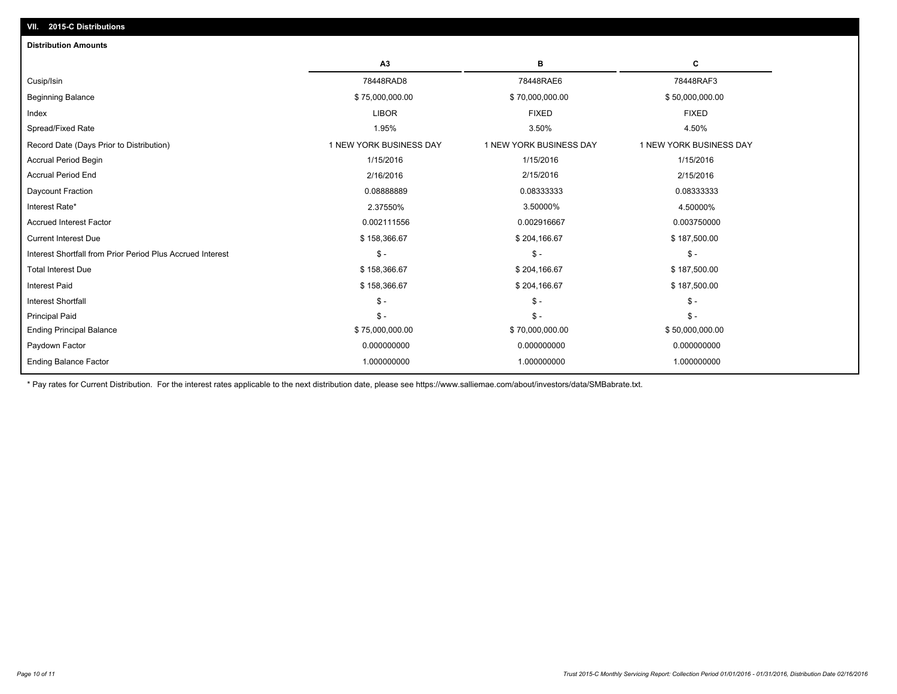| A <sub>3</sub>          | в                       | c                       |
|-------------------------|-------------------------|-------------------------|
| 78448RAD8               | 78448RAE6               | 78448RAF3               |
| \$75,000,000.00         | \$70,000,000.00         | \$50,000,000.00         |
| <b>LIBOR</b>            | <b>FIXED</b>            | <b>FIXED</b>            |
| 1.95%                   | 3.50%                   | 4.50%                   |
| 1 NEW YORK BUSINESS DAY | 1 NEW YORK BUSINESS DAY | 1 NEW YORK BUSINESS DAY |
| 1/15/2016               | 1/15/2016               | 1/15/2016               |
| 2/16/2016               | 2/15/2016               | 2/15/2016               |
| 0.0888889               | 0.08333333              | 0.08333333              |
| 2.37550%                | 3.50000%                | 4.50000%                |
| 0.002111556             | 0.002916667             | 0.003750000             |
| \$158,366.67            | \$204,166.67            | \$187,500.00            |
| $S -$                   | $$ -$                   | $\mathcal{S}$ -         |
| \$158,366.67            | \$204,166.67            | \$187,500.00            |
| \$158,366.67            | \$204,166.67            | \$187,500.00            |
| $S -$                   | $\mathsf{\$}$ -         | $\mathsf{\$}$ -         |
| $S -$                   | $\mathsf{\$}$ -         | $\mathsf{\$}$ -         |
| \$75,000,000.00         | \$70,000,000.00         | \$50,000,000.00         |
| 0.000000000             | 0.000000000             | 0.000000000             |
| 1.000000000             | 1.000000000             | 1.000000000             |
|                         |                         |                         |

\* Pay rates for Current Distribution. For the interest rates applicable to the next distribution date, please see https://www.salliemae.com/about/investors/data/SMBabrate.txt.

**VII. 2015-C Distributions**